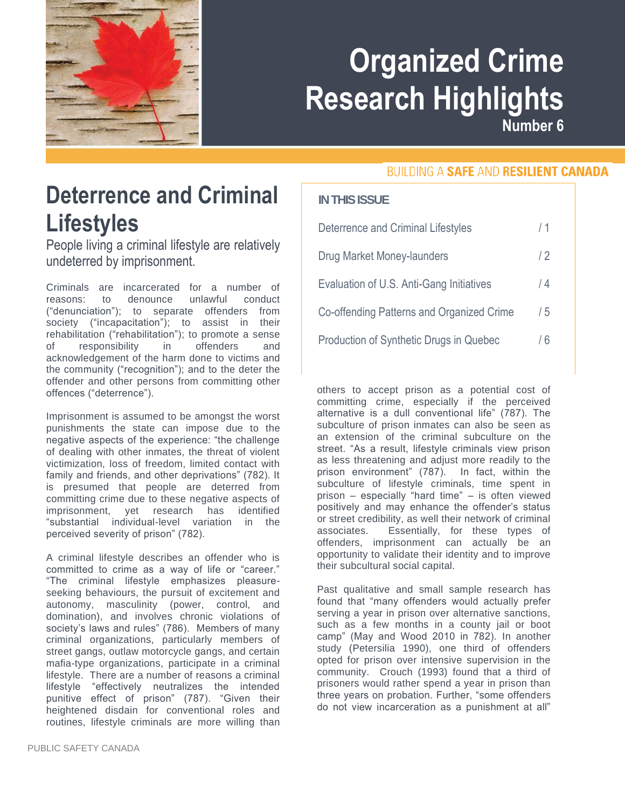

# **Organized Crime Research Highlights**

**Number 6**

**BUILDING A SAFE AND RESILIENT CANADA** 

#### **Deterrence and Criminal Lifestyles**

People living a criminal lifestyle are relatively undeterred by imprisonment.

Criminals are incarcerated for a number of reasons: to denounce unlawful conduct ("denunciation"); to separate offenders from society ("incapacitation"); to assist in their rehabilitation ("rehabilitation"); to promote a sense of responsibility in offenders and acknowledgement of the harm done to victims and the community ("recognition"); and to the deter the offender and other persons from committing other offences ("deterrence").

Imprisonment is assumed to be amongst the worst punishments the state can impose due to the negative aspects of the experience: "the challenge of dealing with other inmates, the threat of violent victimization, loss of freedom, limited contact with family and friends, and other deprivations" (782). It is presumed that people are deterred from committing crime due to these negative aspects of imprisonment, yet research has identified "substantial individual-level variation in the perceived severity of prison" (782).

A criminal lifestyle describes an offender who is committed to crime as a way of life or "career." "The criminal lifestyle emphasizes pleasureseeking behaviours, the pursuit of excitement and autonomy, masculinity (power, control, and domination), and involves chronic violations of society's laws and rules" (786). Members of many criminal organizations, particularly members of street gangs, outlaw motorcycle gangs, and certain mafia-type organizations, participate in a criminal lifestyle. There are a number of reasons a criminal lifestyle "effectively neutralizes the intended punitive effect of prison" (787). "Given their heightened disdain for conventional roles and routines, lifestyle criminals are more willing than **IN THIS ISSUE**

| <b>Deterrence and Criminal Lifestyles</b> | /1  |
|-------------------------------------------|-----|
| Drug Market Money-launders                | /2  |
| Evaluation of U.S. Anti-Gang Initiatives  | / 4 |
| Co-offending Patterns and Organized Crime | / 5 |
| Production of Synthetic Drugs in Quebec   | / 6 |

others to accept prison as a potential cost of committing crime, especially if the perceived alternative is a dull conventional life" (787). The subculture of prison inmates can also be seen as subculture of prison infinates can also be seen as<br>an extension of the criminal subculture on the street. "As a result, lifestyle criminals view prison as less threatening and adjust more readily to the prison environment" (787). In fact, within the subculture of lifestyle criminals, time spent in prison – especially "hard time" – is often viewed prison – especially fried time – is often viewed<br>positively and may enhance the offender's status or street credibility, as well their network of criminal associates. Essentially, for these types of offenders, imprisonment can actually be an opportunity to validate their identity and to improve their subcultural social capital.

Past qualitative and small sample research has found that "many offenders would actually prefer serving a year in prison over alternative sanctions, such as a few months in a county jail or boot camp" (May and Wood 2010 in 782). In another study (Petersilia 1990), one third of offenders opted for prison over intensive supervision in the community. Crouch (1993) found that a third of prisoners would rather spend a year in prison than three years on probation. Further, "some offenders do not view incarceration as a punishment at all"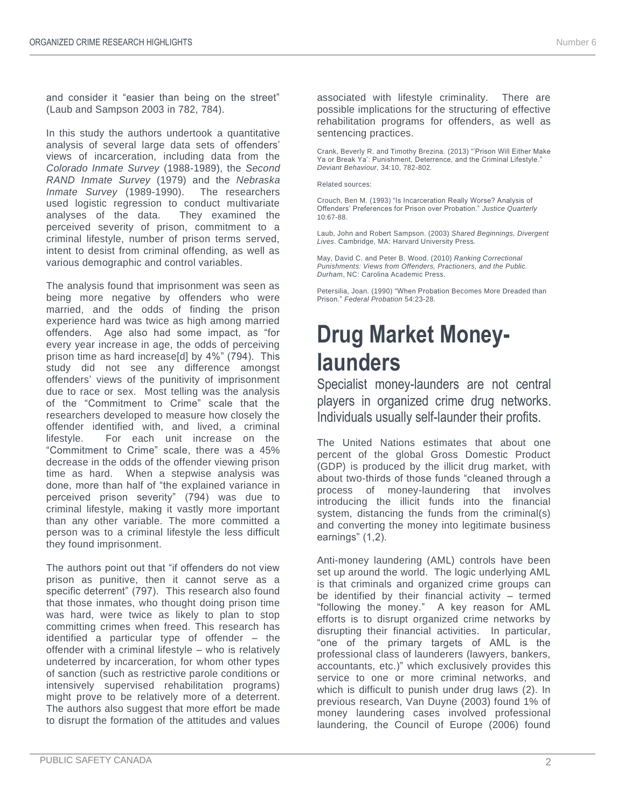and consider it "easier than being on the street" (Laub and Sampson 2003 in 782, 784).

In this study the authors undertook a quantitative analysis of several large data sets of offenders' views of incarceration, including data from the *Colorado Inmate Survey* (1988-1989), the *Second RAND Inmate Survey* (1979) and the *Nebraska Inmate Survey* (1989-1990). The researchers used logistic regression to conduct multivariate analyses of the data. They examined the perceived severity of prison, commitment to a criminal lifestyle, number of prison terms served, intent to desist from criminal offending, as well as various demographic and control variables.

The analysis found that imprisonment was seen as being more negative by offenders who were married, and the odds of finding the prison experience hard was twice as high among married offenders. Age also had some impact, as "for every year increase in age, the odds of perceiving prison time as hard increase[d] by 4%" (794). This study did not see any difference amongst offenders' views of the punitivity of imprisonment due to race or sex. Most telling was the analysis of the "Commitment to Crime" scale that the researchers developed to measure how closely the offender identified with, and lived, a criminal lifestyle. For each unit increase on the "Commitment to Crime" scale, there was a 45% decrease in the odds of the offender viewing prison time as hard. When a stepwise analysis was done, more than half of "the explained variance in perceived prison severity" (794) was due to criminal lifestyle, making it vastly more important than any other variable. The more committed a person was to a criminal lifestyle the less difficult they found imprisonment.

The authors point out that "if offenders do not view prison as punitive, then it cannot serve as a specific deterrent" (797). This research also found that those inmates, who thought doing prison time was hard, were twice as likely to plan to stop committing crimes when freed. This research has identified a particular type of offender – the offender with a criminal lifestyle – who is relatively undeterred by incarceration, for whom other types of sanction (such as restrictive parole conditions or intensively supervised rehabilitation programs) might prove to be relatively more of a deterrent. The authors also suggest that more effort be made to disrupt the formation of the attitudes and values associated with lifestyle criminality. There are possible implications for the structuring of effective rehabilitation programs for offenders, as well as sentencing practices.

Crank, Beverly R. and Timothy Brezina. (2013) "'Prison Will Either Make Ya or Break Ya': Punishment, Deterrence, and the Criminal Lifestyle." *Deviant Behaviour*, 34:10, 782-802*.*

Related sources:

Crouch, Ben M. (1993) "Is Incarceration Really Worse? Analysis of Offenders' Preferences for Prison over Probation." *Justice Quarterly* 10:67-88.

Laub, John and Robert Sampson. (2003) *Shared Beginnings, Divergent Lives*. Cambridge, MA: Harvard University Press.

May, David C. and Peter B. Wood. (2010) *Ranking Correctional Punishments: Views from Offenders, Practioners, and the Public. Durham*, NC: Carolina Academic Press.

Petersilia, Joan. (1990) "When Probation Becomes More Dreaded than Prison." *Federal Probation* 54:23-28.

## **Drug Market Moneylaunders**

Specialist money-launders are not central players in organized crime drug networks. Individuals usually self-launder their profits.

The United Nations estimates that about one percent of the global Gross Domestic Product (GDP) is produced by the illicit drug market, with about two-thirds of those funds "cleaned through a process of money-laundering that involves introducing the illicit funds into the financial system, distancing the funds from the criminal(s) and converting the money into legitimate business earnings" (1,2).

Anti-money laundering (AML) controls have been set up around the world. The logic underlying AML is that criminals and organized crime groups can be identified by their financial activity – termed "following the money." A key reason for AML efforts is to disrupt organized crime networks by disrupting their financial activities. In particular, "one of the primary targets of AML is the professional class of launderers (lawyers, bankers, accountants, etc.)" which exclusively provides this service to one or more criminal networks, and which is difficult to punish under drug laws (2). In previous research, Van Duyne (2003) found 1% of money laundering cases involved professional laundering, the Council of Europe (2006) found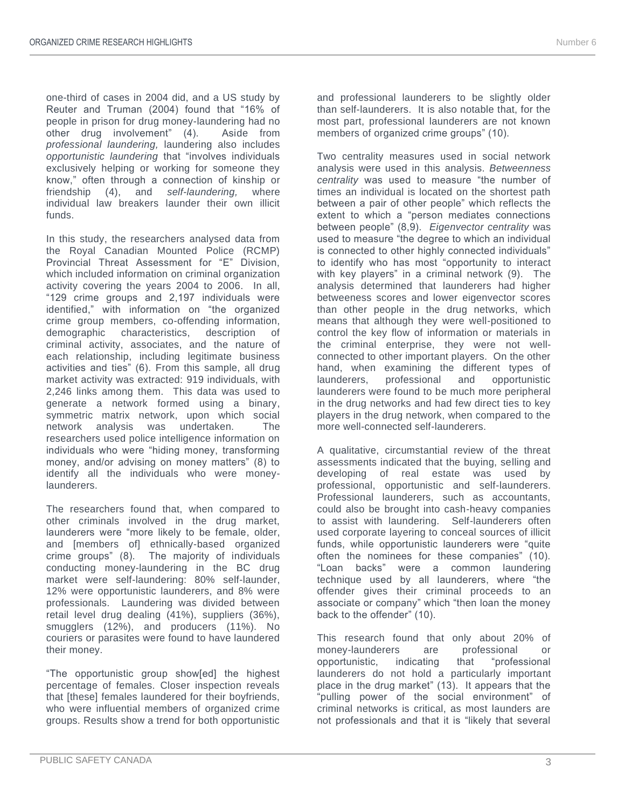one-third of cases in 2004 did, and a US study by Reuter and Truman (2004) found that "16% of people in prison for drug money-laundering had no other drug involvement" (4). Aside from *professional laundering,* laundering also includes *opportunistic laundering* that "involves individuals exclusively helping or working for someone they know," often through a connection of kinship or friendship (4), and *self-laundering,* where individual law breakers launder their own illicit funds.

In this study, the researchers analysed data from the Royal Canadian Mounted Police (RCMP) Provincial Threat Assessment for "E" Division, which included information on criminal organization activity covering the years 2004 to 2006. In all, "129 crime groups and 2,197 individuals were identified," with information on "the organized crime group members, co-offending information, demographic characteristics, description of criminal activity, associates, and the nature of each relationship, including legitimate business activities and ties" (6). From this sample, all drug market activity was extracted: 919 individuals, with 2,246 links among them. This data was used to generate a network formed using a binary, symmetric matrix network, upon which social network analysis was undertaken. The researchers used police intelligence information on individuals who were "hiding money, transforming money, and/or advising on money matters" (8) to identify all the individuals who were moneylaunderers.

The researchers found that, when compared to other criminals involved in the drug market, launderers were "more likely to be female, older, and [members of] ethnically-based organized crime groups" (8). The majority of individuals conducting money-laundering in the BC drug market were self-laundering: 80% self-launder, 12% were opportunistic launderers, and 8% were professionals. Laundering was divided between retail level drug dealing (41%), suppliers (36%), smugglers (12%), and producers (11%). No couriers or parasites were found to have laundered their money.

"The opportunistic group show[ed] the highest percentage of females. Closer inspection reveals that [these] females laundered for their boyfriends, who were influential members of organized crime groups. Results show a trend for both opportunistic and professional launderers to be slightly older than self-launderers. It is also notable that, for the most part, professional launderers are not known members of organized crime groups" (10).

Two centrality measures used in social network analysis were used in this analysis. *Betweenness centrality* was used to measure "the number of times an individual is located on the shortest path between a pair of other people" which reflects the extent to which a "person mediates connections between people" (8,9). *Eigenvector centrality* was used to measure "the degree to which an individual is connected to other highly connected individuals" to identify who has most "opportunity to interact with key players" in a criminal network (9). The analysis determined that launderers had higher betweeness scores and lower eigenvector scores than other people in the drug networks, which means that although they were well-positioned to control the key flow of information or materials in the criminal enterprise, they were not wellconnected to other important players. On the other hand, when examining the different types of launderers, professional and opportunistic launderers were found to be much more peripheral in the drug networks and had few direct ties to key players in the drug network, when compared to the more well-connected self-launderers.

A qualitative, circumstantial review of the threat assessments indicated that the buying, selling and developing of real estate was used by professional, opportunistic and self-launderers. Professional launderers, such as accountants, could also be brought into cash-heavy companies to assist with laundering. Self-launderers often used corporate layering to conceal sources of illicit funds, while opportunistic launderers were "quite often the nominees for these companies" (10). "Loan backs" were a common laundering technique used by all launderers, where "the offender gives their criminal proceeds to an associate or company" which "then loan the money back to the offender" (10).

This research found that only about 20% of money-launderers are professional or opportunistic, indicating that "professional launderers do not hold a particularly important place in the drug market" (13). It appears that the "pulling power of the social environment" of criminal networks is critical, as most launders are not professionals and that it is "likely that several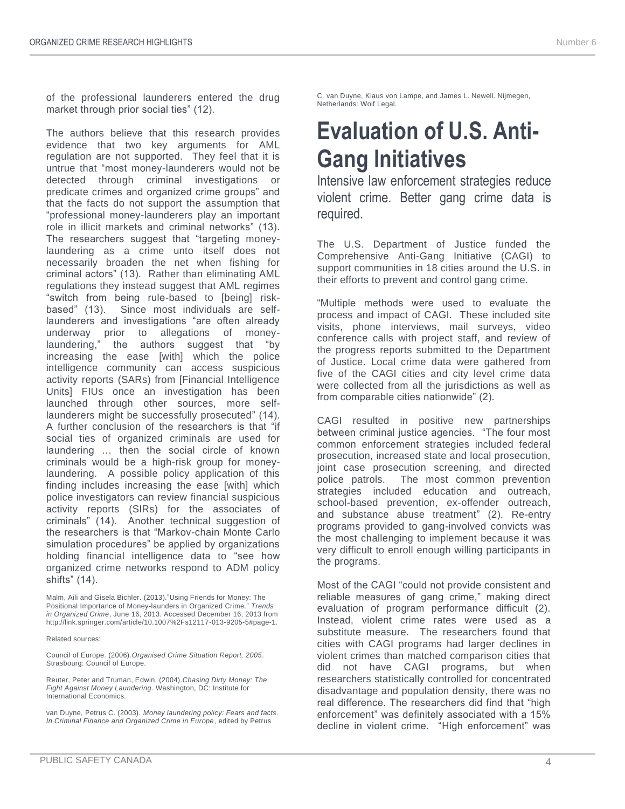of the professional launderers entered the drug market through prior social ties" (12).

The authors believe that this research provides evidence that two key arguments for AML regulation are not supported. They feel that it is untrue that "most money-launderers would not be detected through criminal investigations or predicate crimes and organized crime groups" and that the facts do not support the assumption that "professional money-launderers play an important role in illicit markets and criminal networks" (13). The researchers suggest that "targeting moneylaundering as a crime unto itself does not necessarily broaden the net when fishing for criminal actors" (13). Rather than eliminating AML regulations they instead suggest that AML regimes "switch from being rule-based to [being] riskbased" (13). Since most individuals are selflaunderers and investigations "are often already underway prior to allegations of moneylaundering," the authors suggest that "by increasing the ease [with] which the police intelligence community can access suspicious activity reports (SARs) from [Financial Intelligence Units] FIUs once an investigation has been launched through other sources, more selflaunderers might be successfully prosecuted" (14). A further conclusion of the researchers is that "if social ties of organized criminals are used for laundering … then the social circle of known criminals would be a high-risk group for moneylaundering. A possible policy application of this finding includes increasing the ease [with] which police investigators can review financial suspicious activity reports (SIRs) for the associates of criminals" (14). Another technical suggestion of the researchers is that "Markov-chain Monte Carlo simulation procedures" be applied by organizations holding financial intelligence data to "see how organized crime networks respond to ADM policy shifts" (14).

Malm, Aili and Gisela Bichler. (2013)."Using Friends for Money: The Positional Importance of Money-launders in Organized Crime." *Trends in Organized Crime*, June 16, 2013. Accessed December 16, 2013 from [http://link.springer.com/article/10.1007%2Fs12117-013-9205-5#page-1.](http://link.springer.com/article/10.1007%2Fs12117-013-9205-5#page-1)

#### Related sources:

Council of Europe. (2006).*Organised Crime Situation Report, 2005*. Strasbourg: Council of Europe.

Reuter, Peter and Truman, Edwin. (2004).*Chasing Dirty Money: The Fight Against Money Laundering*. Washington, DC: Institute for International Economics.

van Duyne, Petrus C. (2003). *Money laundering policy: Fears and facts. In Criminal Finance and Organized Crime in Europe*, edited by Petrus

C. van Duyne, Klaus von Lampe, and James L. Newell. Nijmegen, Netherlands: Wolf Legal.

#### **Evaluation of U.S. Anti-Gang Initiatives**

Intensive law enforcement strategies reduce violent crime. Better gang crime data is required.

The U.S. Department of Justice funded the Comprehensive Anti-Gang Initiative (CAGI) to support communities in 18 cities around the U.S. in their efforts to prevent and control gang crime.

"Multiple methods were used to evaluate the process and impact of CAGI. These included site visits, phone interviews, mail surveys, video conference calls with project staff, and review of the progress reports submitted to the Department of Justice. Local crime data were gathered from five of the CAGI cities and city level crime data were collected from all the jurisdictions as well as from comparable cities nationwide" (2).

CAGI resulted in positive new partnerships between criminal justice agencies. "The four most common enforcement strategies included federal prosecution, increased state and local prosecution, joint case prosecution screening, and directed police patrols. The most common prevention strategies included education and outreach, school-based prevention, ex-offender outreach, and substance abuse treatment" (2). Re-entry programs provided to gang-involved convicts was the most challenging to implement because it was very difficult to enroll enough willing participants in the programs.

Most of the CAGI "could not provide consistent and reliable measures of gang crime," making direct evaluation of program performance difficult (2). Instead, violent crime rates were used as a substitute measure. The researchers found that cities with CAGI programs had larger declines in violent crimes than matched comparison cities that did not have CAGI programs, but when researchers statistically controlled for concentrated disadvantage and population density, there was no real difference. The researchers did find that "high enforcement" was definitely associated with a 15% decline in violent crime. "High enforcement" was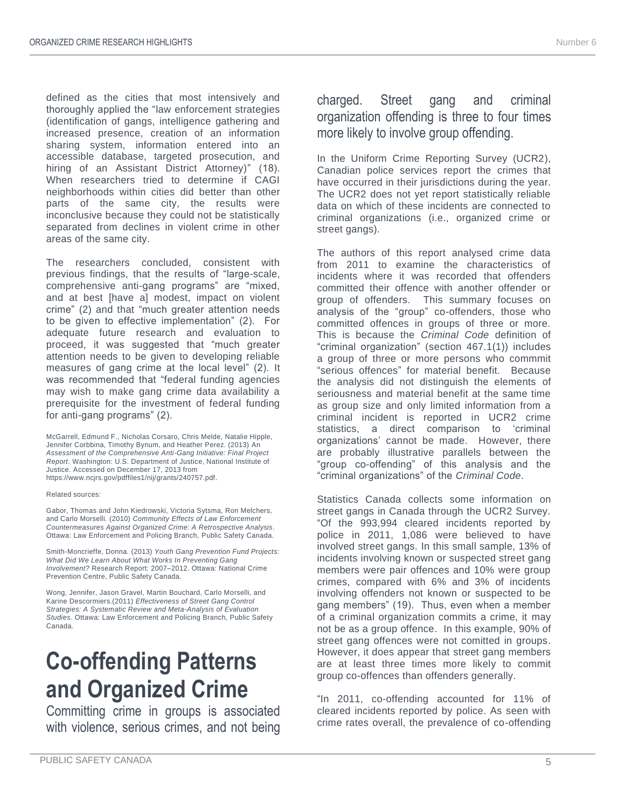defined as the cities that most intensively and thoroughly applied the "law enforcement strategies (identification of gangs, intelligence gathering and increased presence, creation of an information sharing system, information entered into an accessible database, targeted prosecution, and hiring of an Assistant District Attorney)" (18). When researchers tried to determine if CAGI neighborhoods within cities did better than other parts of the same city, the results were inconclusive because they could not be statistically separated from declines in violent crime in other areas of the same city.

The researchers concluded, consistent with previous findings, that the results of "large-scale, comprehensive anti-gang programs" are "mixed, and at best [have a] modest, impact on violent crime" (2) and that "much greater attention needs to be given to effective implementation" (2). For adequate future research and evaluation to proceed, it was suggested that "much greater attention needs to be given to developing reliable measures of gang crime at the local level" (2). It was recommended that "federal funding agencies may wish to make gang crime data availability a prerequisite for the investment of federal funding for anti-gang programs" (2).

McGarrell, Edmund F., Nicholas Corsaro, Chris Melde, Natalie Hipple, Jennifer Corbbina, Timothy Bynum, and Heather Perez. (2013) An *Assessment of the Comprehensive Anti-Gang Initiative: Final Project Report*. Washington: U.S. Department of Justice, National Institute of Justice. Accessed on December 17, 2013 from [https://www.ncjrs.gov/pdffiles1/nij/grants/240757.pdf.](https://www.ncjrs.gov/pdffiles1/nij/grants/240757.pdf)

Related sources:

Gabor, Thomas and John Kiedrowski, Victoria Sytsma, Ron Melchers, and Carlo Morselli*.* (2010) *Community Effects of Law Enforcement Countermeasures Against Organized Crime: A Retrospective Analysis*. Ottawa: Law Enforcement and Policing Branch, Public Safety Canada.

Smith-Moncrieffe, Donna. (2013) *Youth Gang Prevention Fund Projects: What Did We Learn About What Works In Preventing Gang Involvement?* Research Report: 2007–2012. Ottawa: National Crime Prevention Centre, Public Safety Canada.

Wong, Jennifer, Jason Gravel, Martin Bouchard, Carlo Morselli, and Karine Descormiers.(2011) *Effectiveness of Street Gang Control Strategies: A Systematic Review and Meta-Analysis of Evaluation Studies*. Ottawa: Law Enforcement and Policing Branch, Public Safety Canada.

#### **Co-offending Patterns and Organized Crime**

Committing crime in groups is associated with violence, serious crimes, and not being

#### charged. Street gang and criminal organization offending is three to four times more likely to involve group offending.

In the Uniform Crime Reporting Survey (UCR2), Canadian police services report the crimes that have occurred in their jurisdictions during the year. The UCR2 does not yet report statistically reliable data on which of these incidents are connected to criminal organizations (i.e., organized crime or street gangs).

The authors of this report analysed crime data from 2011 to examine the characteristics of incidents where it was recorded that offenders committed their offence with another offender or group of offenders. This summary focuses on analysis of the "group" co-offenders, those who committed offences in groups of three or more. This is because the *Criminal Code* definition of "criminal organization" (section 467.1(1)) includes a group of three or more persons who commmit "serious offences" for material benefit. Because the analysis did not distinguish the elements of seriousness and material benefit at the same time as group size and only limited information from a criminal incident is reported in UCR2 crime statistics, a direct comparison to 'criminal organizations' cannot be made. However, there are probably illustrative parallels between the "group co-offending" of this analysis and the "criminal organizations" of the *Criminal Code*.

Statistics Canada collects some information on street gangs in Canada through the UCR2 Survey. "Of the 993,994 cleared incidents reported by police in 2011, 1,086 were believed to have involved street gangs. In this small sample, 13% of incidents involving known or suspected street gang members were pair offences and 10% were group crimes, compared with 6% and 3% of incidents involving offenders not known or suspected to be gang members" (19). Thus, even when a member of a criminal organization commits a crime, it may not be as a group offence. In this example, 90% of street gang offences were not comitted in groups. However, it does appear that street gang members are at least three times more likely to commit group co-offences than offenders generally.

"In 2011, co-offending accounted for 11% of cleared incidents reported by police. As seen with crime rates overall, the prevalence of co-offending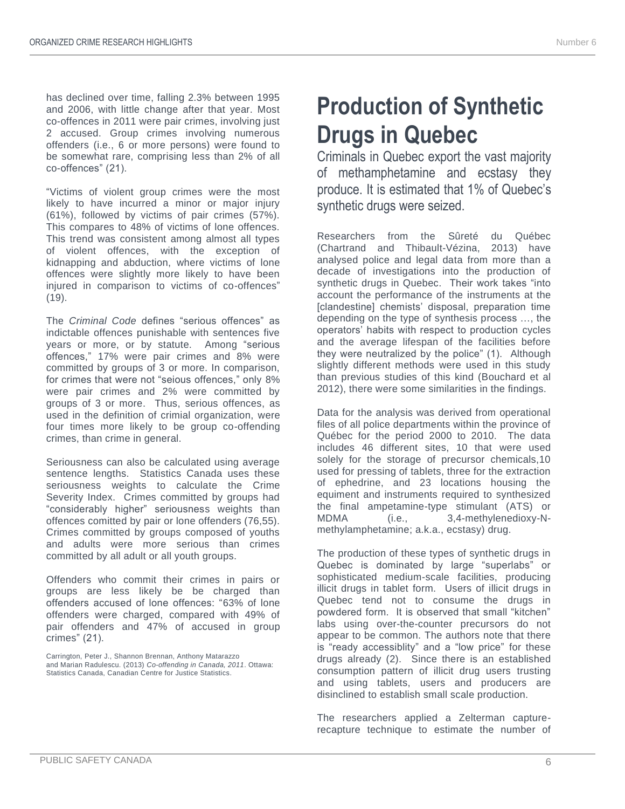has declined over time, falling 2.3% between 1995 and 2006, with little change after that year. Most co-offences in 2011 were pair crimes, involving just 2 accused. Group crimes involving numerous offenders (i.e., 6 or more persons) were found to be somewhat rare, comprising less than 2% of all co-offences" (21).

"Victims of violent group crimes were the most likely to have incurred a minor or major injury (61%), followed by victims of pair crimes (57%). This compares to 48% of victims of lone offences. This trend was consistent among almost all types of violent offences, with the exception of kidnapping and abduction, where victims of lone offences were slightly more likely to have been injured in comparison to victims of co-offences" (19).

The *Criminal Code* defines "serious offences" as indictable offences punishable with sentences five years or more, or by statute. Among "serious offences," 17% were pair crimes and 8% were committed by groups of 3 or more. In comparison, for crimes that were not "seious offences," only 8% were pair crimes and 2% were committed by groups of 3 or more. Thus, serious offences, as used in the definition of crimial organization, were four times more likely to be group co-offending crimes, than crime in general.

Seriousness can also be calculated using average sentence lengths. Statistics Canada uses these seriousness weights to calculate the Crime Severity Index. Crimes committed by groups had "considerably higher" seriousness weights than offences comitted by pair or lone offenders (76,55). Crimes committed by groups composed of youths and adults were more serious than crimes committed by all adult or all youth groups.

Offenders who commit their crimes in pairs or groups are less likely be be charged than offenders accused of lone offences: "63% of lone offenders were charged, compared with 49% of pair offenders and 47% of accused in group crimes" (21).

Carrington, Peter J., Shannon Brennan, Anthony Matarazzo and Marian Radulescu. (2013) *Co-offending in Canada, 2011*. Ottawa: Statistics Canada, Canadian Centre for Justice Statistics.

## **Production of Synthetic Drugs in Quebec**

Criminals in Quebec export the vast majority of methamphetamine and ecstasy they produce. It is estimated that 1% of Quebec's synthetic drugs were seized.

Researchers from the Sûreté du Québec (Chartrand and Thibault-Vézina, 2013) have analysed police and legal data from more than a decade of investigations into the production of synthetic drugs in Quebec. Their work takes "into account the performance of the instruments at the [clandestine] chemists' disposal, preparation time depending on the type of synthesis process …, the operators' habits with respect to production cycles and the average lifespan of the facilities before they were neutralized by the police" (1). Although slightly different methods were used in this study than previous studies of this kind (Bouchard et al 2012), there were some similarities in the findings.

Data for the analysis was derived from operational files of all police departments within the province of Québec for the period 2000 to 2010. The data includes 46 different sites, 10 that were used solely for the storage of precursor chemicals,10 used for pressing of tablets, three for the extraction of ephedrine, and 23 locations housing the equiment and instruments required to synthesized the final ampetamine-type stimulant (ATS) or MDMA (i.e., 3,4-methylenedioxy-Nmethylamphetamine; a.k.a., ecstasy) drug.

The production of these types of synthetic drugs in Quebec is dominated by large "superlabs" or sophisticated medium-scale facilities, producing illicit drugs in tablet form. Users of illicit drugs in Quebec tend not to consume the drugs in powdered form. It is observed that small "kitchen" labs using over-the-counter precursors do not appear to be common. The authors note that there is "ready accessiblity" and a "low price" for these drugs already (2). Since there is an established consumption pattern of illicit drug users trusting and using tablets, users and producers are disinclined to establish small scale production.

The researchers applied a Zelterman capturerecapture technique to estimate the number of